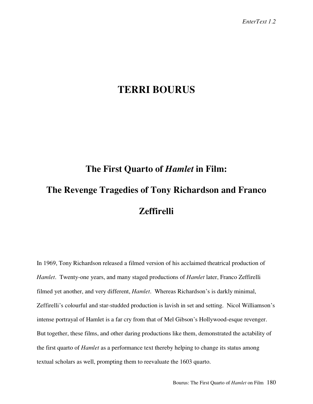## **TERRI BOURUS**

## **The First Quarto of** *Hamlet* **in Film: The Revenge Tragedies of Tony Richardson and Franco Zeffirelli**

In 1969, Tony Richardson released a filmed version of his acclaimed theatrical production of *Hamlet*. Twenty-one years, and many staged productions of *Hamlet* later, Franco Zeffirelli filmed yet another, and very different, *Hamlet*. Whereas Richardson's is darkly minimal, Zeffirelli's colourful and star-studded production is lavish in set and setting. Nicol Williamson's intense portrayal of Hamlet is a far cry from that of Mel Gibson's Hollywood-esque revenger. But together, these films, and other daring productions like them, demonstrated the actability of the first quarto of *Hamlet* as a performance text thereby helping to change its status among textual scholars as well, prompting them to reevaluate the 1603 quarto.

Bourus: The First Quarto of *Hamlet* on Film 180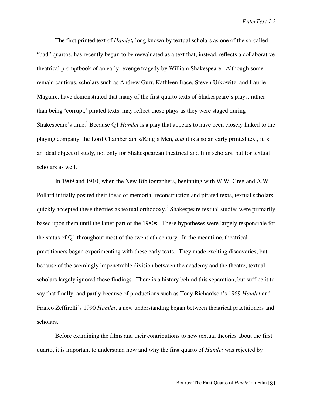*EnterText 1.2*

The first printed text of *Hamlet,* long known by textual scholars as one of the so-called "bad" quartos, has recently begun to be reevaluated as a text that, instead, reflects a collaborative theatrical promptbook of an early revenge tragedy by William Shakespeare. Although some remain cautious, scholars such as Andrew Gurr, Kathleen Irace, Steven Urkowitz, and Laurie Maguire, have demonstrated that many of the first quarto texts of Shakespeare's plays, rather than being 'corrupt,' pirated texts, may reflect those plays as they were staged during Shakespeare's time.<sup>1</sup> Because Q1 *Hamlet* is a play that appears to have been closely linked to the playing company, the Lord Chamberlain's/King's Men, *and* it is also an early printed text, it is an ideal object of study, not only for Shakespearean theatrical and film scholars, but for textual scholars as well.

In 1909 and 1910, when the New Bibliographers, beginning with W.W. Greg and A.W. Pollard initially posited their ideas of memorial reconstruction and pirated texts, textual scholars quickly accepted these theories as textual orthodoxy.<sup>2</sup> Shakespeare textual studies were primarily based upon them until the latter part of the 1980s. These hypotheses were largely responsible for the status of Q1 throughout most of the twentieth century. In the meantime, theatrical practitioners began experimenting with these early texts. They made exciting discoveries, but because of the seemingly impenetrable division between the academy and the theatre, textual scholars largely ignored these findings. There is a history behind this separation, but suffice it to say that finally, and partly because of productions such as Tony Richardson's 1969 *Hamlet* and Franco Zeffirelli's 1990 *Hamlet*, a new understanding began between theatrical practitioners and scholars.

Before examining the films and their contributions to new textual theories about the first quarto, it is important to understand how and why the first quarto of *Hamlet* was rejected by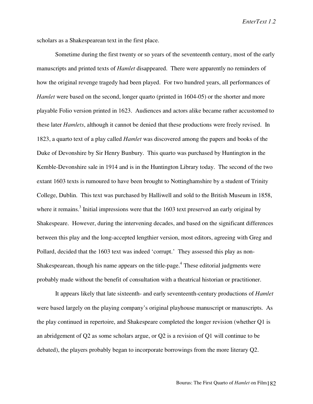scholars as a Shakespearean text in the first place.

Sometime during the first twenty or so years of the seventeenth century, most of the early manuscripts and printed texts of *Hamlet* disappeared. There were apparently no reminders of how the original revenge tragedy had been played. For two hundred years, all performances of *Hamlet* were based on the second, longer quarto (printed in 1604-05) or the shorter and more playable Folio version printed in 1623. Audiences and actors alike became rather accustomed to these later *Hamlets*, although it cannot be denied that these productions were freely revised. In 1823, a quarto text of a play called *Hamlet* was discovered among the papers and books of the Duke of Devonshire by Sir Henry Bunbury. This quarto was purchased by Huntington in the Kemble-Devonshire sale in 1914 and is in the Huntington Library today. The second of the two extant 1603 texts is rumoured to have been brought to Nottinghamshire by a student of Trinity College, Dublin. This text was purchased by Halliwell and sold to the British Museum in 1858, where it remains.<sup>3</sup> Initial impressions were that the  $1603$  text preserved an early original by Shakespeare. However, during the intervening decades, and based on the significant differences between this play and the long-accepted lengthier version, most editors, agreeing with Greg and Pollard, decided that the 1603 text was indeed 'corrupt.' They assessed this play as non-Shakespearean, though his name appears on the title-page.<sup>4</sup> These editorial judgments were probably made without the benefit of consultation with a theatrical historian or practitioner.

It appears likely that late sixteenth- and early seventeenth-century productions of *Hamlet* were based largely on the playing company's original playhouse manuscript or manuscripts. As the play continued in repertoire, and Shakespeare completed the longer revision (whether Q1 is an abridgement of Q2 as some scholars argue, or Q2 is a revision of Q1 will continue to be debated), the players probably began to incorporate borrowings from the more literary Q2.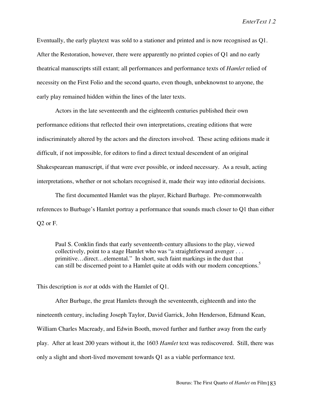Eventually, the early playtext was sold to a stationer and printed and is now recognised as Q1. After the Restoration, however, there were apparently no printed copies of Q1 and no early theatrical manuscripts still extant; all performances and performance texts of *Hamlet* relied of necessity on the First Folio and the second quarto, even though, unbeknownst to anyone, the early play remained hidden within the lines of the later texts.

Actors in the late seventeenth and the eighteenth centuries published their own performance editions that reflected their own interpretations, creating editions that were indiscriminately altered by the actors and the directors involved. These acting editions made it difficult, if not impossible, for editors to find a direct textual descendent of an original Shakespearean manuscript, if that were ever possible, or indeed necessary. As a result, acting interpretations, whether or not scholars recognised it, made their way into editorial decisions.

The first documented Hamlet was the player, Richard Burbage. Pre-commonwealth references to Burbage's Hamlet portray a performance that sounds much closer to Q1 than either Q2 or F.

Paul S. Conklin finds that early seventeenth-century allusions to the play, viewed collectively, point to a stage Hamlet who was "a straightforward avenger . . . primitive…direct…elemental." In short, such faint markings in the dust that can still be discerned point to a Hamlet quite at odds with our modern conceptions.<sup>5</sup>

This description is *not* at odds with the Hamlet of Q1.

After Burbage, the great Hamlets through the seventeenth, eighteenth and into the nineteenth century, including Joseph Taylor, David Garrick, John Henderson, Edmund Kean, William Charles Macready, and Edwin Booth, moved further and further away from the early play. After at least 200 years without it, the 1603 *Hamlet* text was rediscovered. Still, there was only a slight and short-lived movement towards Q1 as a viable performance text.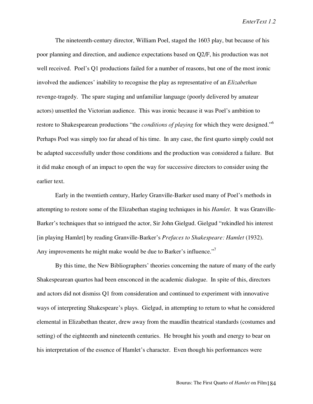*EnterText 1.2*

The nineteenth-century director, William Poel, staged the 1603 play, but because of his poor planning and direction, and audience expectations based on Q2/F, his production was not well received. Poel's Q1 productions failed for a number of reasons, but one of the most ironic involved the audiences' inability to recognise the play as representative of an *Elizabethan* revenge-tragedy. The spare staging and unfamiliar language (poorly delivered by amateur actors) unsettled the Victorian audience. This was ironic because it was Poel's ambition to restore to Shakespearean productions "the *conditions of playing* for which they were designed."<sup>6</sup> Perhaps Poel was simply too far ahead of his time. In any case, the first quarto simply could not be adapted successfully under those conditions and the production was considered a failure. But it did make enough of an impact to open the way for successive directors to consider using the earlier text.

Early in the twentieth century, Harley Granville-Barker used many of Poel's methods in attempting to restore some of the Elizabethan staging techniques in his *Hamlet*. It was Granville-Barker's techniques that so intrigued the actor, Sir John Gielgud. Gielgud "rekindled his interest [in playing Hamlet] by reading Granville-Barker's *Prefaces to Shakespeare: Hamlet* (1932). Any improvements he might make would be due to Barker's influence."<sup>7</sup>

By this time, the New Bibliographers' theories concerning the nature of many of the early Shakespearean quartos had been ensconced in the academic dialogue. In spite of this, directors and actors did not dismiss Q1 from consideration and continued to experiment with innovative ways of interpreting Shakespeare's plays. Gielgud, in attempting to return to what he considered elemental in Elizabethan theater, drew away from the maudlin theatrical standards (costumes and setting) of the eighteenth and nineteenth centuries. He brought his youth and energy to bear on his interpretation of the essence of Hamlet's character. Even though his performances were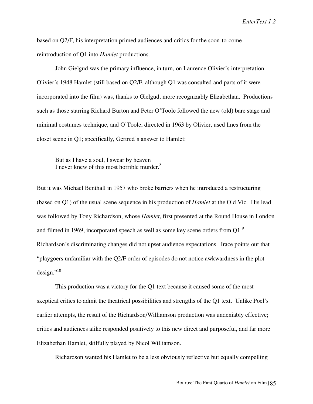based on Q2/F, his interpretation primed audiences and critics for the soon-to-come reintroduction of Q1 into *Hamlet* productions.

John Gielgud was the primary influence, in turn, on Laurence Olivier's interpretation. Olivier's 1948 Hamlet (still based on Q2/F, although Q1 was consulted and parts of it were incorporated into the film) was, thanks to Gielgud, more recognizably Elizabethan. Productions such as those starring Richard Burton and Peter O'Toole followed the new (old) bare stage and minimal costumes technique, and O'Toole, directed in 1963 by Olivier, used lines from the closet scene in Q1; specifically, Gertred's answer to Hamlet:

But as I have a soul, I swear by heaven I never knew of this most horrible murder.<sup>8</sup>

But it was Michael Benthall in 1957 who broke barriers when he introduced a restructuring (based on Q1) of the usual scene sequence in his production of *Hamlet* at the Old Vic. His lead was followed by Tony Richardson, whose *Hamlet*, first presented at the Round House in London and filmed in 1969, incorporated speech as well as some key scene orders from  $01<sup>9</sup>$ Richardson's discriminating changes did not upset audience expectations. Irace points out that "playgoers unfamiliar with the Q2/F order of episodes do not notice awkwardness in the plot  $design.^{,10}$ 

This production was a victory for the Q1 text because it caused some of the most skeptical critics to admit the theatrical possibilities and strengths of the Q1 text. Unlike Poel's earlier attempts, the result of the Richardson/Williamson production was undeniably effective; critics and audiences alike responded positively to this new direct and purposeful, and far more Elizabethan Hamlet, skilfully played by Nicol Williamson.

Richardson wanted his Hamlet to be a less obviously reflective but equally compelling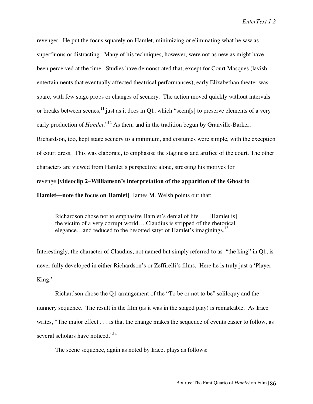revenger. He put the focus squarely on Hamlet, minimizing or eliminating what he saw as superfluous or distracting. Many of his techniques, however, were not as new as might have been perceived at the time. Studies have demonstrated that, except for Court Masques (lavish entertainments that eventually affected theatrical performances), early Elizabethan theater was spare, with few stage props or changes of scenery. The action moved quickly without intervals or breaks between scenes,<sup>11</sup> just as it does in Q1, which "seem[s] to preserve elements of a very early production of *Hamlet*."<sup>12</sup> As then, and in the tradition begun by Granville-Barker, Richardson, too, kept stage scenery to a minimum, and costumes were simple, with the exception of court dress. This was elaborate, to emphasise the staginess and artifice of the court. The other characters are viewed from Hamlet's perspective alone, stressing his motives for revenge.**[videoclip 2–Williamson's interpretation of the apparition of the Ghost to Hamlet—note the focus on Hamlet]** James M. Welsh points out that:

Richardson chose not to emphasize Hamlet's denial of life . . . [Hamlet is] the victim of a very corrupt world….Claudius is stripped of the rhetorical elegance...and reduced to the besotted satyr of Hamlet's imaginings.<sup>13</sup>

Interestingly, the character of Claudius, not named but simply referred to as "the king" in Q1, is never fully developed in either Richardson's or Zeffirelli's films. Here he is truly just a 'Player King.'

Richardson chose the Q1 arrangement of the "To be or not to be" soliloquy and the nunnery sequence. The result in the film (as it was in the staged play) is remarkable. As Irace writes, "The major effect . . . is that the change makes the sequence of events easier to follow, as several scholars have noticed."<sup>14</sup>

The scene sequence, again as noted by Irace, plays as follows: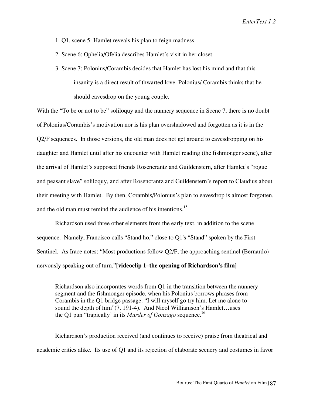- 1. Q1, scene 5: Hamlet reveals his plan to feign madness.
- 2. Scene 6: Ophelia/Ofelia describes Hamlet's visit in her closet.
- 3. Scene 7: Polonius/Corambis decides that Hamlet has lost his mind and that this insanity is a direct result of thwarted love. Polonius/ Corambis thinks that he should eavesdrop on the young couple.

With the "To be or not to be" soliloquy and the nunnery sequence in Scene 7, there is no doubt of Polonius/Corambis's motivation nor is his plan overshadowed and forgotten as it is in the Q2/F sequences. In those versions, the old man does not get around to eavesdropping on his daughter and Hamlet until after his encounter with Hamlet reading (the fishmonger scene), after the arrival of Hamlet's supposed friends Rosencrantz and Guildenstern, after Hamlet's "rogue and peasant slave" soliloquy, and after Rosencrantz and Guildenstern's report to Claudius about their meeting with Hamlet. By then, Corambis/Polonius's plan to eavesdrop is almost forgotten, and the old man must remind the audience of his intentions.<sup>15</sup>

Richardson used three other elements from the early text, in addition to the scene sequence. Namely, Francisco calls "Stand ho," close to Q1's "Stand" spoken by the First Sentinel. As Irace notes: "Most productions follow Q2/F, the approaching sentinel (Bernardo) nervously speaking out of turn."**[videoclip 1–the opening of Richardson's film]**

Richardson also incorporates words from Q1 in the transition between the nunnery segment and the fishmonger episode, when his Polonius borrows phrases from Corambis in the Q1 bridge passage: "I will myself go try him. Let me alone to sound the depth of him"(7. 191-4). And Nicol Williamson's Hamlet...uses the Q1 pun "trapically' in its *Murder of Gonzago* sequence.16

Richardson's production received (and continues to receive) praise from theatrical and academic critics alike. Its use of Q1 and its rejection of elaborate scenery and costumes in favor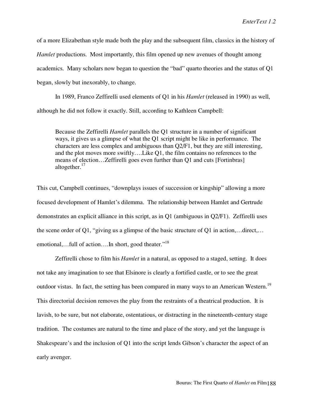of a more Elizabethan style made both the play and the subsequent film, classics in the history of *Hamlet* productions. Most importantly, this film opened up new avenues of thought among academics. Many scholars now began to question the "bad" quarto theories and the status of Q1 began, slowly but inexorably, to change.

In 1989, Franco Zeffirelli used elements of Q1 in his *Hamlet* (released in 1990) as well, although he did not follow it exactly. Still, according to Kathleen Campbell:

Because the Zeffirelli *Hamlet* parallels the Q1 structure in a number of significant ways, it gives us a glimpse of what the Q1 script might be like in performance. The characters are less complex and ambiguous than Q2/F1, but they are still interesting, and the plot moves more swiftly….Like Q1, the film contains no references to the means of election…Zeffirelli goes even further than Q1 and cuts [Fortinbras] altogether.<sup>17</sup>

This cut, Campbell continues, "downplays issues of succession or kingship" allowing a more focused development of Hamlet's dilemma. The relationship between Hamlet and Gertrude demonstrates an explicit alliance in this script, as in Q1 (ambiguous in Q2/F1). Zeffirelli uses the scene order of Q1, "giving us a glimpse of the basic structure of Q1 in action,…direct,… emotional,...full of action....In short, good theater."<sup>18</sup>

Zeffirelli chose to film his *Hamlet* in a natural, as opposed to a staged, setting. It does not take any imagination to see that Elsinore is clearly a fortified castle, or to see the great outdoor vistas. In fact, the setting has been compared in many ways to an American Western.<sup>19</sup> This directorial decision removes the play from the restraints of a theatrical production. It is lavish, to be sure, but not elaborate, ostentatious, or distracting in the nineteenth-century stage tradition. The costumes are natural to the time and place of the story, and yet the language is Shakespeare's and the inclusion of Q1 into the script lends Gibson's character the aspect of an early avenger.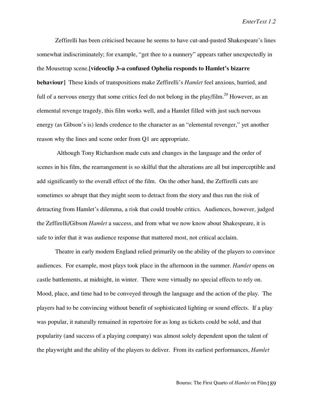Zeffirelli has been criticised because he seems to have cut-and-pasted Shakespeare's lines somewhat indiscriminately; for example, "get thee to a nunnery" appears rather unexpectedly in the Mousetrap scene.**[videoclip 3–a confused Ophelia responds to Hamlet's bizarre behaviour]** These kinds of transpositions make Zeffirelli's *Hamlet* feel anxious, hurried, and full of a nervous energy that some critics feel do not belong in the play/film.<sup>20</sup> However, as an elemental revenge tragedy, this film works well, and a Hamlet filled with just such nervous energy (as Gibson's is) lends credence to the character as an "elemental revenger," yet another reason why the lines and scene order from Q1 are appropriate.

Although Tony Richardson made cuts and changes in the language and the order of scenes in his film, the rearrangement is so skilful that the alterations are all but imperceptible and add significantly to the overall effect of the film. On the other hand, the Zeffirelli cuts are sometimes so abrupt that they might seem to detract from the story and thus run the risk of detracting from Hamlet's dilemma, a risk that could trouble critics. Audiences, however, judged the Zeffirelli/Gibson *Hamlet* a success, and from what we now know about Shakespeare, it is safe to infer that it was audience response that mattered most, not critical acclaim.

Theatre in early modern England relied primarily on the ability of the players to convince audiences. For example, most plays took place in the afternoon in the summer. *Hamlet* opens on castle battlements, at midnight, in winter. There were virtually no special effects to rely on. Mood, place, and time had to be conveyed through the language and the action of the play. The players had to be convincing without benefit of sophisticated lighting or sound effects. If a play was popular, it naturally remained in repertoire for as long as tickets could be sold, and that popularity (and success of a playing company) was almost solely dependent upon the talent of the playwright and the ability of the players to deliver. From its earliest performances, *Hamlet*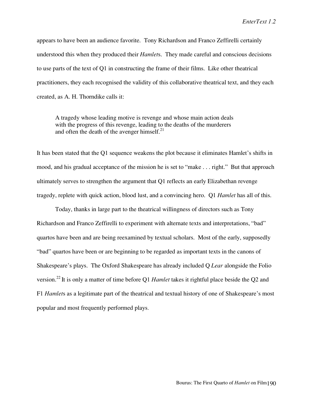appears to have been an audience favorite. Tony Richardson and Franco Zeffirelli certainly understood this when they produced their *Hamlet*s. They made careful and conscious decisions to use parts of the text of Q1 in constructing the frame of their films. Like other theatrical practitioners, they each recognised the validity of this collaborative theatrical text, and they each created, as A. H. Thorndike calls it:

A tragedy whose leading motive is revenge and whose main action deals with the progress of this revenge, leading to the deaths of the murderers and often the death of the avenger himself. $^{21}$ 

It has been stated that the Q1 sequence weakens the plot because it eliminates Hamlet's shifts in mood, and his gradual acceptance of the mission he is set to "make . . . right." But that approach ultimately serves to strengthen the argument that Q1 reflects an early Elizabethan revenge tragedy, replete with quick action, blood lust, and a convincing hero. Q1 *Hamlet* has all of this.

Today, thanks in large part to the theatrical willingness of directors such as Tony Richardson and Franco Zeffirelli to experiment with alternate texts and interpretations, "bad" quartos have been and are being reexamined by textual scholars. Most of the early, supposedly "bad" quartos have been or are beginning to be regarded as important texts in the canons of Shakespeare's plays. The Oxford Shakespeare has already included Q *Lear* alongside the Folio version.22 It is only a matter of time before Q1 *Hamlet* takes it rightful place beside the Q2 and F1 *Hamlet*s as a legitimate part of the theatrical and textual history of one of Shakespeare's most popular and most frequently performed plays*.*